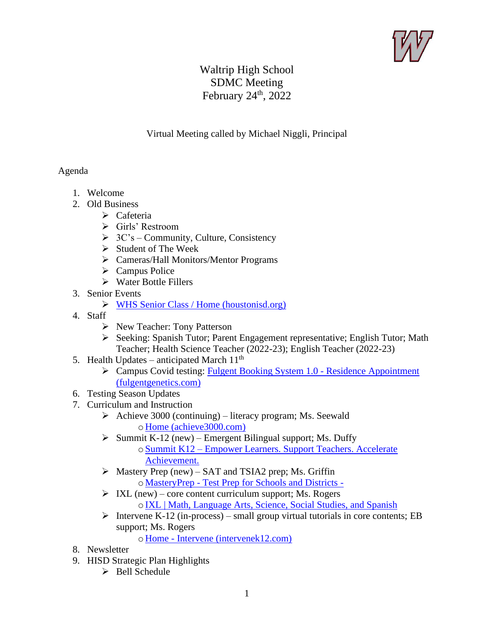

## Waltrip High School SDMC Meeting February  $24<sup>th</sup>$ , 2022

## Virtual Meeting called by Michael Niggli, Principal

## Agenda

- 1. Welcome
- 2. Old Business
	- ➢ Cafeteria
	- ➢ Girls' Restroom
	- $\triangleright$  3C's Community, Culture, Consistency
	- ➢ Student of The Week
	- ➢ Cameras/Hall Monitors/Mentor Programs
	- ➢ Campus Police
	- ➢ Water Bottle Fillers
- 3. Senior Events
	- ➢ [WHS Senior Class / Home \(houstonisd.org\)](https://www.houstonisd.org/site/default.aspx?DomainID=45345)
- 4. Staff
	- ➢ New Teacher: Tony Patterson
	- ➢ Seeking: Spanish Tutor; Parent Engagement representative; English Tutor; Math Teacher; Health Science Teacher (2022-23); English Teacher (2022-23)
- 5. Health Updates anticipated March  $11<sup>th</sup>$ 
	- ➢ Campus Covid testing: [Fulgent Booking System 1.0 -](https://backtoschool.fulgentgenetics.com/hisd/residence_appointment/screen/landing) Residence Appointment [\(fulgentgenetics.com\)](https://backtoschool.fulgentgenetics.com/hisd/residence_appointment/screen/landing)
- 6. Testing Season Updates
- 7. Curriculum and Instruction
	- $\triangleright$  Achieve 3000 (continuing) literacy program; Ms. Seewald o [Home \(achieve3000.com\)](https://www.achieve3000.com/)
	- $\triangleright$  Summit K-12 (new) Emergent Bilingual support; Ms. Duffy oSummit K12 – [Empower Learners. Support Teachers. Accelerate](https://www.summitk12.com/)  [Achievement.](https://www.summitk12.com/)
	- $\triangleright$  Mastery Prep (new) SAT and TSIA2 prep; Ms. Griffin o MasteryPrep - [Test Prep for Schools and Districts -](https://masteryprep.com/)
	- $\triangleright$  IXL (new) core content curriculum support; Ms. Rogers o[IXL | Math, Language Arts, Science, Social Studies, and Spanish](https://www.ixl.com/)
	- $\triangleright$  Intervene K-12 (in-process) small group virtual tutorials in core contents; EB support; Ms. Rogers

o Home - [Intervene \(intervenek12.com\)](https://intervenek12.com/)

- 8. Newsletter
- 9. HISD Strategic Plan Highlights
	- ➢ Bell Schedule